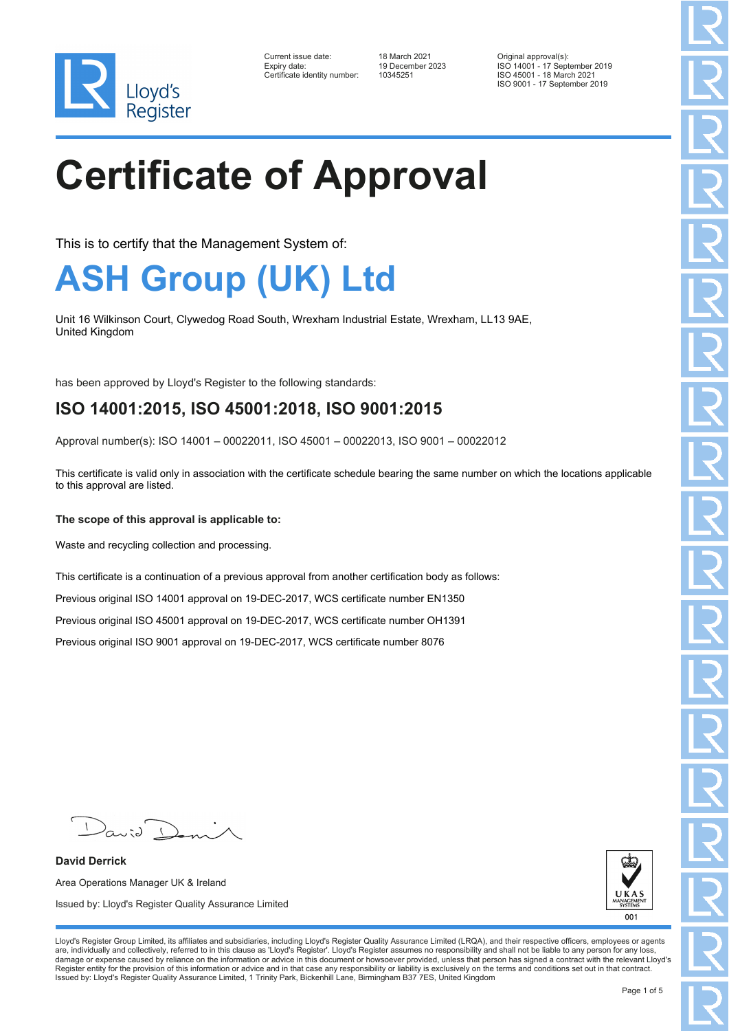

| Current issue date:          |  |
|------------------------------|--|
| Expiry date:                 |  |
| Certificate identity number: |  |

Current issue date: 18 March 2021 Original approval(s): Expiry date: 19 December 2023 ISO 14001 - 17 September 2019 ISO 45001 - 18 March 2021 ISO 9001 - 17 September 2019

# **Certificate of Approval**

This is to certify that the Management System of:

#### **ASH Group (UK) Ltd**

Unit 16 Wilkinson Court, Clywedog Road South, Wrexham Industrial Estate, Wrexham, LL13 9AE, United Kingdom

has been approved by Lloyd's Register to the following standards:

#### **ISO 14001:2015, ISO 45001:2018, ISO 9001:2015**

Approval number(s): ISO 14001 – 00022011, ISO 45001 – 00022013, ISO 9001 – 00022012

This certificate is valid only in association with the certificate schedule bearing the same number on which the locations applicable to this approval are listed.

#### **The scope of this approval is applicable to:**

Waste and recycling collection and processing.

This certificate is a continuation of a previous approval from another certification body as follows:

Previous original ISO 14001 approval on 19-DEC-2017, WCS certificate number EN1350

Previous original ISO 45001 approval on 19-DEC-2017, WCS certificate number OH1391

Previous original ISO 9001 approval on 19-DEC-2017, WCS certificate number 8076

**David Derrick** Area Operations Manager UK & Ireland Issued by: Lloyd's Register Quality Assurance Limited



Lloyd's Register Group Limited, its affiliates and subsidiaries, including Lloyd's Register Quality Assurance Limited (LRQA), and their respective officers, employees or agents are, individually and collectively, referred to in this clause as 'Lloyd's Register'. Lloyd's Register assumes no responsibility and shall not be liable to any person for any loss,<br>damage or expense caused by reliance on t Register entity for the provision of this information or advice and in that case any responsibility or liability is exclusively on the terms and conditions set out in that contract. Issued by: Lloyd's Register Quality Assurance Limited, 1 Trinity Park, Bickenhill Lane, Birmingham B37 7ES, United Kingdom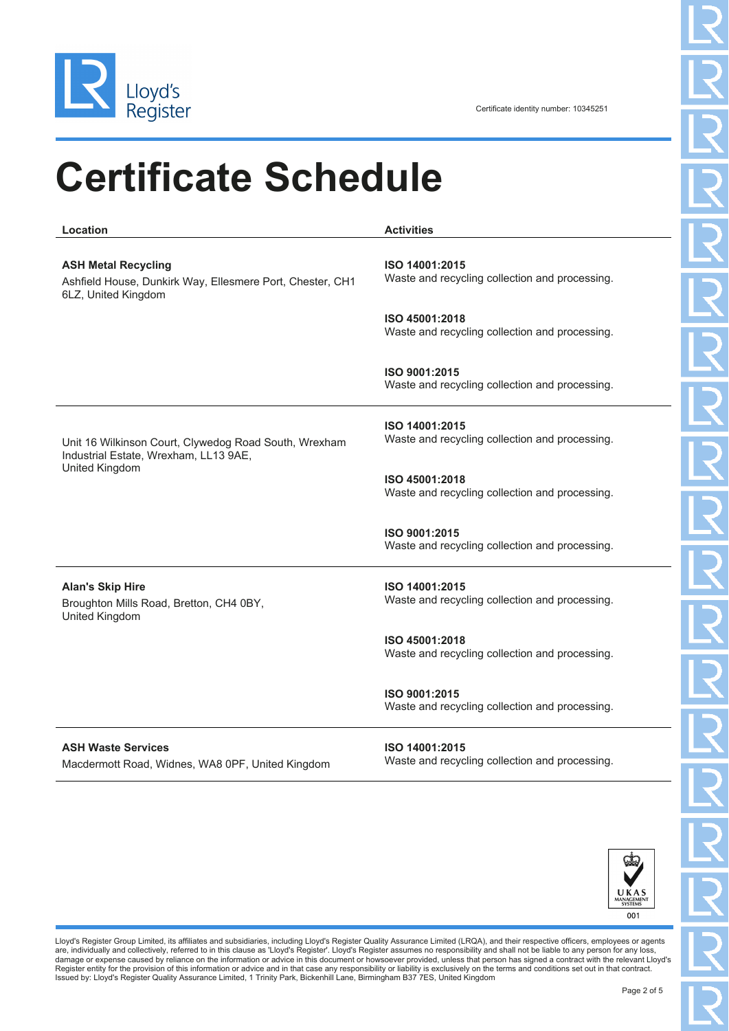

### **Certificate Schedule**

**ASH Metal Recycling** Ashfield House, Dunkirk Way, Ellesmere Port, Chester, CH1 6LZ, United Kingdom

**Location Activities**

**ISO 14001:2015** Waste and recycling collection and processing.

**ISO 45001:2018** Waste and recycling collection and processing.

**ISO 9001:2015** Waste and recycling collection and processing.

Unit 16 Wilkinson Court, Clywedog Road South, Wrexham Industrial Estate, Wrexham, LL13 9AE, United Kingdom

**ISO 14001:2015** Waste and recycling collection and processing.

**ISO 45001:2018** Waste and recycling collection and processing.

**ISO 9001:2015** Waste and recycling collection and processing.

**Alan's Skip Hire** Broughton Mills Road, Bretton, CH4 0BY, United Kingdom

**ISO 14001:2015** Waste and recycling collection and processing.

**ISO 45001:2018** Waste and recycling collection and processing.

**ISO 9001:2015** Waste and recycling collection and processing.

**ASH Waste Services** Macdermott Road, Widnes, WA8 0PF, United Kingdom **ISO 14001:2015** Waste and recycling collection and processing.



Lloyd's Register Group Limited, its affiliates and subsidiaries, including Lloyd's Register Quality Assurance Limited (LRQA), and their respective officers, employees or agents are, individually and collectively, referred to in this clause as 'Lloyd's Register'. Lloyd's Register assumes no responsibility and shall not be liable to any person for any loss,<br>damage or expense caused by reliance on t Register entity for the provision of this information or advice and in that case any responsibility or liability is exclusively on the terms and conditions set out in that contract.<br>Issued by: Lloyd's Register Quality Assu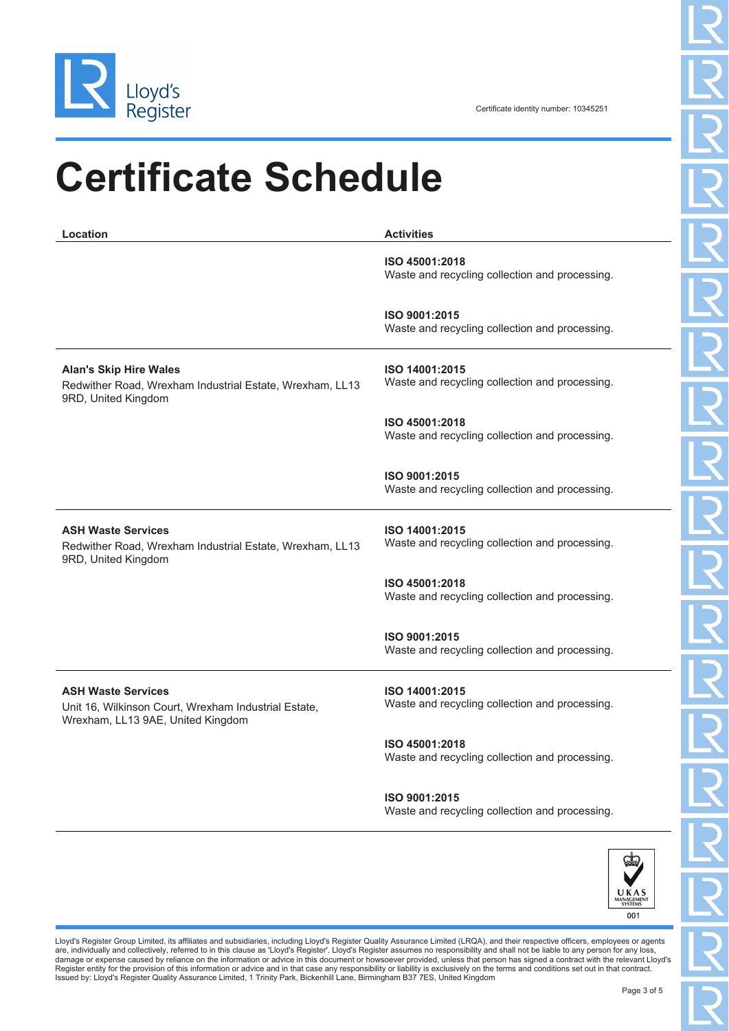

## **Certificate Schedule**

| Location                                                                                                               | <b>Activities</b>                                                |
|------------------------------------------------------------------------------------------------------------------------|------------------------------------------------------------------|
|                                                                                                                        | ISO 45001:2018<br>Waste and recycling collection and processing. |
|                                                                                                                        | ISO 9001:2015<br>Waste and recycling collection and processing.  |
| <b>Alan's Skip Hire Wales</b><br>Redwither Road, Wrexham Industrial Estate, Wrexham, LL13<br>9RD, United Kingdom       | ISO 14001:2015<br>Waste and recycling collection and processing. |
|                                                                                                                        | ISO 45001:2018<br>Waste and recycling collection and processing. |
|                                                                                                                        | ISO 9001:2015<br>Waste and recycling collection and processing.  |
| <b>ASH Waste Services</b><br>Redwither Road, Wrexham Industrial Estate, Wrexham, LL13<br>9RD, United Kingdom           | ISO 14001:2015<br>Waste and recycling collection and processing. |
|                                                                                                                        | ISO 45001:2018<br>Waste and recycling collection and processing. |
|                                                                                                                        | ISO 9001:2015<br>Waste and recycling collection and processing.  |
| <b>ASH Waste Services</b><br>Unit 16, Wilkinson Court, Wrexham Industrial Estate,<br>Wrexham, LL13 9AE, United Kingdom | ISO 14001:2015<br>Waste and recycling collection and processing. |
|                                                                                                                        | ISO 45001:2018<br>Waste and recycling collection and processing. |

**ISO 9001:2015** Waste and recycling collection and processing.



Lloyd's Register Group Limited, its affiliates and subsidiaries, including Lloyd's Register Quality Assurance Limited (LRQA), and their respective officers, employees or agents<br>are, individually and collectively, referred Register entity for the provision of this information or advice and in that case any responsibility or liability is exclusively on the terms and conditions set out in that contract.<br>Issued by: Lloyd's Register Quality Assu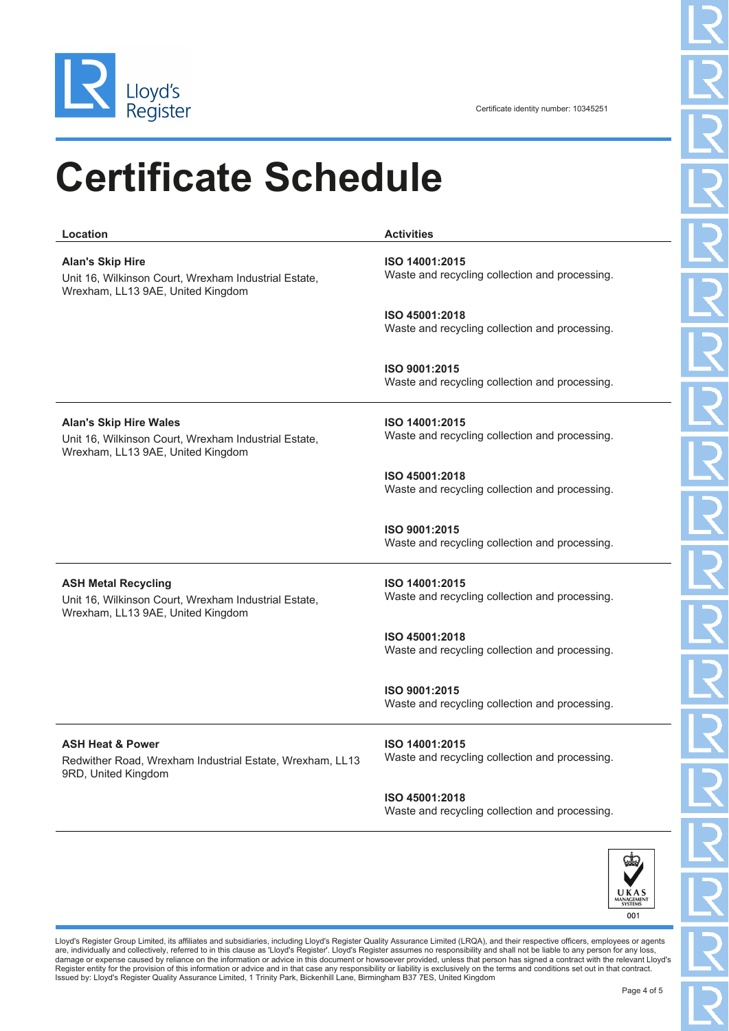

### **Certificate Schedule**

| Location                                                                                                                   | <b>Activities</b>                                                |
|----------------------------------------------------------------------------------------------------------------------------|------------------------------------------------------------------|
| <b>Alan's Skip Hire</b><br>Unit 16, Wilkinson Court, Wrexham Industrial Estate,<br>Wrexham, LL13 9AE, United Kingdom       | ISO 14001:2015<br>Waste and recycling collection and processing. |
|                                                                                                                            | ISO 45001:2018<br>Waste and recycling collection and processing. |
|                                                                                                                            | ISO 9001:2015<br>Waste and recycling collection and processing.  |
| <b>Alan's Skip Hire Wales</b><br>Unit 16, Wilkinson Court, Wrexham Industrial Estate,<br>Wrexham, LL13 9AE, United Kingdom | ISO 14001:2015<br>Waste and recycling collection and processing. |
|                                                                                                                            | ISO 45001:2018<br>Waste and recycling collection and processing. |
|                                                                                                                            | ISO 9001:2015<br>Waste and recycling collection and processing.  |
| <b>ASH Metal Recycling</b><br>Unit 16, Wilkinson Court, Wrexham Industrial Estate,<br>Wrexham, LL13 9AE, United Kingdom    | ISO 14001:2015<br>Waste and recycling collection and processing. |
|                                                                                                                            | ISO 45001:2018<br>Waste and recycling collection and processing. |
|                                                                                                                            | ISO 9001:2015<br>Waste and recycling collection and processing.  |
| <b>ASH Heat &amp; Power</b><br>Redwither Road, Wrexham Industrial Estate, Wrexham, LL13<br>9RD, United Kingdom             | ISO 14001:2015<br>Waste and recycling collection and processing. |
|                                                                                                                            | ISO 45001:2018                                                   |



Waste and recycling collection and processing.

Lloyd's Register Group Limited, its affiliates and subsidiaries, including Lloyd's Register Quality Assurance Limited (LRQA), and their respective officers, employees or agents<br>are, individually and collectively, referred Register entity for the provision of this information or advice and in that case any responsibility or liability is exclusively on the terms and conditions set out in that contract.<br>Issued by: Lloyd's Register Quality Assu